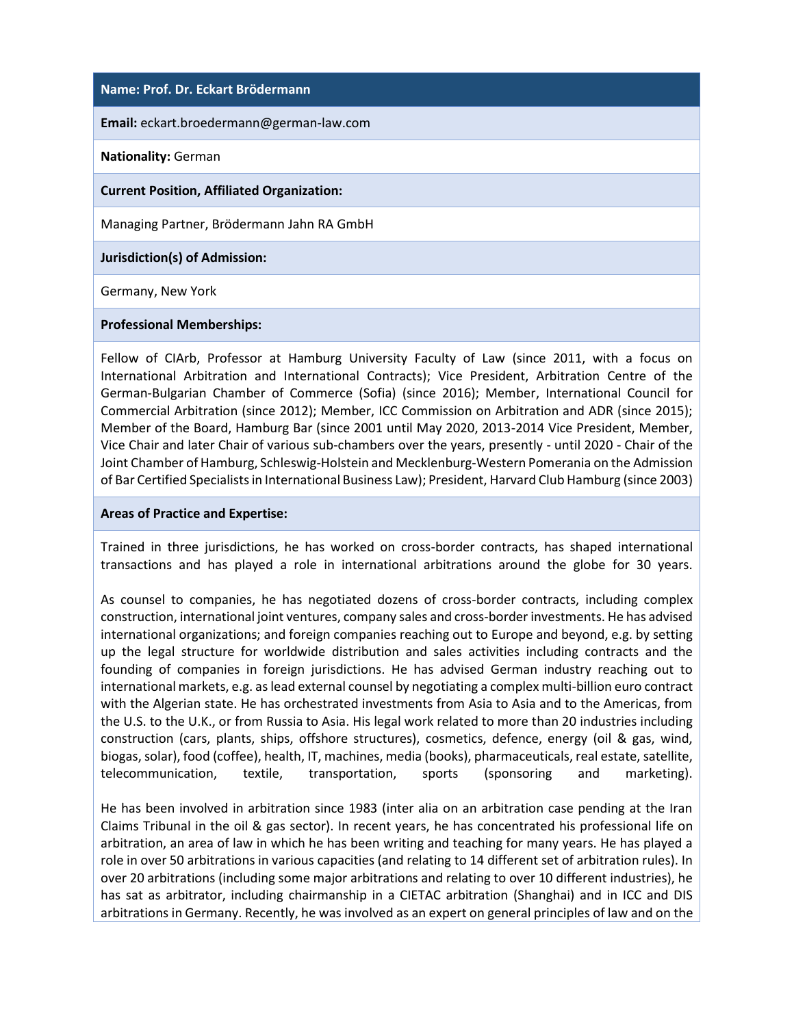## **Name: Prof. Dr. Eckart Brödermann**

**Email:** eckart.broedermann@german-law.com

## **Nationality:** German

### **Current Position, Affiliated Organization:**

Managing Partner, Brödermann Jahn RA GmbH

**Jurisdiction(s) of Admission:**

Germany, New York

### **Professional Memberships:**

Fellow of CIArb, Professor at Hamburg University Faculty of Law (since 2011, with a focus on International Arbitration and International Contracts); Vice President, Arbitration Centre of the German-Bulgarian Chamber of Commerce (Sofia) (since 2016); Member, International Council for Commercial Arbitration (since 2012); Member, ICC Commission on Arbitration and ADR (since 2015); Member of the Board, Hamburg Bar (since 2001 until May 2020, 2013-2014 Vice President, Member, Vice Chair and later Chair of various sub-chambers over the years, presently - until 2020 - Chair of the Joint Chamber of Hamburg, Schleswig-Holstein and Mecklenburg-Western Pomerania on the Admission of Bar Certified Specialists in International Business Law); President, Harvard Club Hamburg (since 2003)

### **Areas of Practice and Expertise:**

Trained in three jurisdictions, he has worked on cross-border contracts, has shaped international transactions and has played a role in international arbitrations around the globe for 30 years.

As counsel to companies, he has negotiated dozens of cross-border contracts, including complex construction, international joint ventures, company sales and cross-border investments. He has advised international organizations; and foreign companies reaching out to Europe and beyond, e.g. by setting up the legal structure for worldwide distribution and sales activities including contracts and the founding of companies in foreign jurisdictions. He has advised German industry reaching out to international markets, e.g. as lead external counsel by negotiating a complex multi-billion euro contract with the Algerian state. He has orchestrated investments from Asia to Asia and to the Americas, from the U.S. to the U.K., or from Russia to Asia. His legal work related to more than 20 industries including construction (cars, plants, ships, offshore structures), cosmetics, defence, energy (oil & gas, wind, biogas, solar), food (coffee), health, IT, machines, media (books), pharmaceuticals, real estate, satellite, telecommunication, textile, transportation, sports (sponsoring and marketing).

He has been involved in arbitration since 1983 (inter alia on an arbitration case pending at the Iran Claims Tribunal in the oil & gas sector). In recent years, he has concentrated his professional life on arbitration, an area of law in which he has been writing and teaching for many years. He has played a role in over 50 arbitrations in various capacities (and relating to 14 different set of arbitration rules). In over 20 arbitrations (including some major arbitrations and relating to over 10 different industries), he has sat as arbitrator, including chairmanship in a CIETAC arbitration (Shanghai) and in ICC and DIS arbitrations in Germany. Recently, he was involved as an expert on general principles of law and on the